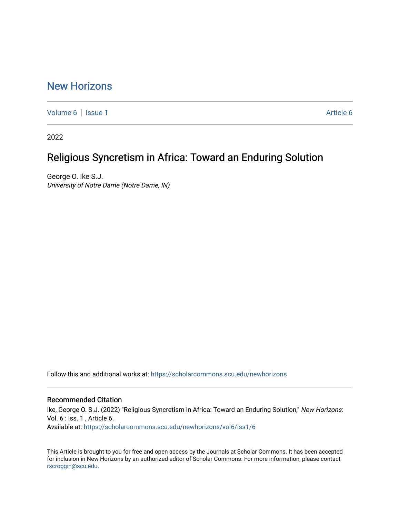### [New Horizons](https://scholarcommons.scu.edu/newhorizons)

[Volume 6](https://scholarcommons.scu.edu/newhorizons/vol6) | [Issue 1](https://scholarcommons.scu.edu/newhorizons/vol6/iss1) [Article 6](https://scholarcommons.scu.edu/newhorizons/vol6/iss1/6) | Article 6 | Article 6 | Article 6 | Article 6 | Article 6 | Article 6 | Article 6 | Article 6 | Article 6 | Article 6 | Article 6 | Article 6 | Article 6 | Article 6 | Article 6 | Article 6 |

2022

## Religious Syncretism in Africa: Toward an Enduring Solution

George O. Ike S.J. University of Notre Dame (Notre Dame, IN)

Follow this and additional works at: [https://scholarcommons.scu.edu/newhorizons](https://scholarcommons.scu.edu/newhorizons?utm_source=scholarcommons.scu.edu%2Fnewhorizons%2Fvol6%2Fiss1%2F6&utm_medium=PDF&utm_campaign=PDFCoverPages)

#### Recommended Citation

Ike, George O. S.J. (2022) "Religious Syncretism in Africa: Toward an Enduring Solution," New Horizons: Vol. 6 : Iss. 1 , Article 6. Available at: [https://scholarcommons.scu.edu/newhorizons/vol6/iss1/6](https://scholarcommons.scu.edu/newhorizons/vol6/iss1/6?utm_source=scholarcommons.scu.edu%2Fnewhorizons%2Fvol6%2Fiss1%2F6&utm_medium=PDF&utm_campaign=PDFCoverPages)

This Article is brought to you for free and open access by the Journals at Scholar Commons. It has been accepted for inclusion in New Horizons by an authorized editor of Scholar Commons. For more information, please contact [rscroggin@scu.edu](mailto:rscroggin@scu.edu).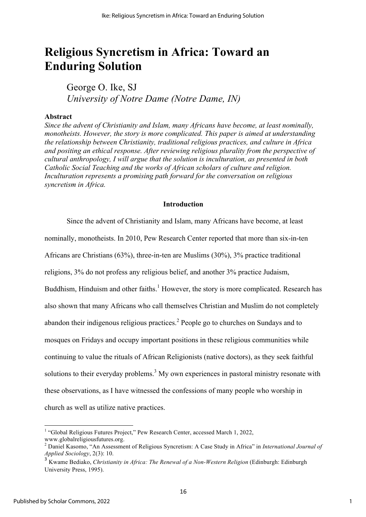# **Religious Syncretism in Africa: Toward an Enduring Solution**

George O. Ike, SJ *University of Notre Dame (Notre Dame, IN)*

#### **Abstract**

*Since the advent of Christianity and Islam, many Africans have become, at least nominally, monotheists. However, the story is more complicated. This paper is aimed at understanding the relationship between Christianity, traditional religious practices, and culture in Africa and positing an ethical response. After reviewing religious plurality from the perspective of cultural anthropology, I will argue that the solution is inculturation, as presented in both Catholic Social Teaching and the works of African scholars of culture and religion. Inculturation represents a promising path forward for the conversation on religious syncretism in Africa.*

#### **Introduction**

Since the advent of Christianity and Islam, many Africans have become, at least nominally, monotheists. In 2010, Pew Research Center reported that more than six-in-ten Africans are Christians (63%), three-in-ten are Muslims (30%), 3% practice traditional religions, 3% do not profess any religious belief, and another 3% practice Judaism, Buddhism, Hinduism and other faiths.<sup>1</sup> However, the story is more complicated. Research has also shown that many Africans who call themselves Christian and Muslim do not completely abandon their indigenous religious practices.<sup>2</sup> People go to churches on Sundays and to mosques on Fridays and occupy important positions in these religious communities while continuing to value the rituals of African Religionists (native doctors), as they seek faithful solutions to their everyday problems.<sup>3</sup> My own experiences in pastoral ministry resonate with these observations, as I have witnessed the confessions of many people who worship in church as well as utilize native practices.

 

<sup>&</sup>lt;sup>1</sup> "Global Religious Futures Project," Pew Research Center, accessed March 1, 2022,

www.globalreligiousfutures.org. <sup>2</sup> Daniel Kasomo, "An Assessment of Religious Syncretism: A Case Study in Africa" in *International Journal of Applied Sociology*, 2(3): 10.

<sup>3</sup> Kwame Bediako, *Christianity in Africa: The Renewal of a Non-Western Religion* (Edinburgh: Edinburgh University Press, 1995).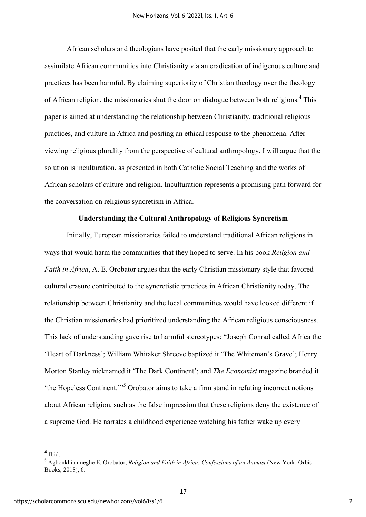African scholars and theologians have posited that the early missionary approach to assimilate African communities into Christianity via an eradication of indigenous culture and practices has been harmful. By claiming superiority of Christian theology over the theology of African religion, the missionaries shut the door on dialogue between both religions.<sup>4</sup> This paper is aimed at understanding the relationship between Christianity, traditional religious practices, and culture in Africa and positing an ethical response to the phenomena. After viewing religious plurality from the perspective of cultural anthropology, I will argue that the solution is inculturation, as presented in both Catholic Social Teaching and the works of African scholars of culture and religion. Inculturation represents a promising path forward for the conversation on religious syncretism in Africa.

#### **Understanding the Cultural Anthropology of Religious Syncretism**

Initially, European missionaries failed to understand traditional African religions in ways that would harm the communities that they hoped to serve. In his book *Religion and Faith in Africa*, A. E. Orobator argues that the early Christian missionary style that favored cultural erasure contributed to the syncretistic practices in African Christianity today. The relationship between Christianity and the local communities would have looked different if the Christian missionaries had prioritized understanding the African religious consciousness. This lack of understanding gave rise to harmful stereotypes: "Joseph Conrad called Africa the 'Heart of Darkness'; William Whitaker Shreeve baptized it 'The Whiteman's Grave'; Henry Morton Stanley nicknamed it 'The Dark Continent'; and *The Economist* magazine branded it 'the Hopeless Continent.'"<sup>5</sup> Orobator aims to take a firm stand in refuting incorrect notions about African religion, such as the false impression that these religions deny the existence of a supreme God. He narrates a childhood experience watching his father wake up every

<u> 1989 - Jan Samuel Barbara, margaret e</u>

 $<sup>4</sup>$  Ibid.</sup>

<sup>5</sup> Agbonkhianmeghe E. Orobator, *Religion and Faith in Africa: Confessions of an Animist* (New York: Orbis Books, 2018), 6.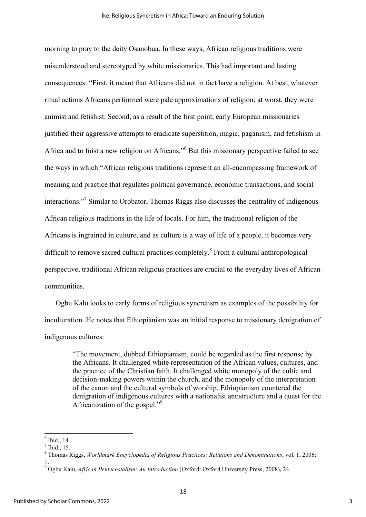morning to pray to the deity Osanobua. In these ways, African religious traditions were misunderstood and stereotyped by white missionaries. This had important and lasting consequences: "First, it meant that Africans did not in fact have a religion. At best, whatever ritual actions Africans performed were pale approximations of religion; at worst, they were animist and fetishist. Second, as a result of the first point, early European missionaries justified their aggressive attempts to eradicate superstition, magic, paganism, and fetishism in Africa and to foist a new religion on Africans."<sup>6</sup> But this missionary perspective failed to see the ways in which "African religious traditions represent an all-encompassing framework of meaning and practice that regulates political governance, economic transactions, and social interactions."<sup>7</sup> Similar to Orobator, Thomas Riggs also discusses the centrality of indigenous African religious traditions in the life of locals. For him, the traditional religion of the Africans is ingrained in culture, and as culture is a way of life of a people, it becomes very difficult to remove sacred cultural practices completely.<sup>8</sup> From a cultural anthropological perspective, traditional African religious practices are crucial to the everyday lives of African communities.

 Ogbu Kalu looks to early forms of religious syncretism as examples of the possibility for inculturation. He notes that Ethiopianism was an initial response to missionary denigration of indigenous cultures:

"The movement, dubbed Ethiopianism, could be regarded as the first response by the Africans. It challenged white representation of the African values, cultures, and the practice of the Christian faith. It challenged white monopoly of the cultic and decision-making powers within the church, and the monopoly of the interpretation of the canon and the cultural symbols of worship. Ethiopianism countered the denigration of indigenous cultures with a nationalist antistructure and a quest for the Africanization of the gospel."9

 

 $6$  Ibid., 14.

<sup>7</sup> Ibid., 15.

<sup>8</sup> Thomas Riggs, *Worldmark Encyclopedia of Religious Practices: Religions and Denominations*, vol. 1, 2006: 1.

<sup>9</sup> Ogbu Kalu, *African Pentecostalism: An Introduction* (Oxford: Oxford University Press, 2008), 24.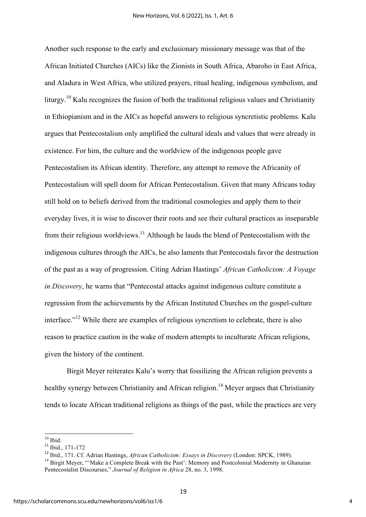Another such response to the early and exclusionary missionary message was that of the African Initiated Churches (AICs) like the Zionists in South Africa, Abaroho in East Africa, and Aladura in West Africa, who utilized prayers, ritual healing, indigenous symbolism, and liturgy.<sup>10</sup> Kalu recognizes the fusion of both the traditional religious values and Christianity in Ethiopianism and in the AICs as hopeful answers to religious syncretistic problems. Kalu argues that Pentecostalism only amplified the cultural ideals and values that were already in existence. For him, the culture and the worldview of the indigenous people gave Pentecostalism its African identity. Therefore, any attempt to remove the Africanity of Pentecostalism will spell doom for African Pentecostalism. Given that many Africans today still hold on to beliefs derived from the traditional cosmologies and apply them to their everyday lives, it is wise to discover their roots and see their cultural practices as inseparable from their religious worldviews.<sup>11</sup> Although he lauds the blend of Pentecostalism with the indigenous cultures through the AICs, he also laments that Pentecostals favor the destruction of the past as a way of progression. Citing Adrian Hastings' *African Catholicism: A Voyage in Discovery*, he warns that "Pentecostal attacks against indigenous culture constitute a regression from the achievements by the African Instituted Churches on the gospel-culture interface."<sup>12</sup> While there are examples of religious syncretism to celebrate, there is also reason to practice caution in the wake of modern attempts to inculturate African religions, given the history of the continent.

Birgit Meyer reiterates Kalu's worry that fossilizing the African religion prevents a healthy synergy between Christianity and African religion.<sup>14</sup> Meyer argues that Christianity tends to locate African traditional religions as things of the past, while the practices are very

<sup>&</sup>lt;sup>10</sup> Ibid.<br><sup>11</sup> Ibid., 171-172

<sup>12</sup> Ibid., 171. Cf. Adrian Hastings, *African Catholicism: Essays in Discovery* (London: SPCK, 1989).

<sup>&</sup>lt;sup>14</sup> Birgit Meyer, "'Make a Complete Break with the Past': Memory and Postcolonial Modernity in Ghanaian Pentecostalist Discourses," *Journal of Religion in Africa* 28, no. 3, 1998.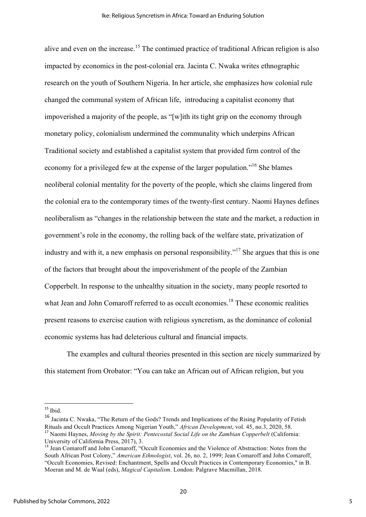alive and even on the increase.<sup>15</sup> The continued practice of traditional African religion is also impacted by economics in the post-colonial era. Jacinta C. Nwaka writes ethnographic research on the youth of Southern Nigeria. In her article, she emphasizes how colonial rule changed the communal system of African life, introducing a capitalist economy that impoverished a majority of the people, as "[w]ith its tight grip on the economy through monetary policy, colonialism undermined the communality which underpins African Traditional society and established a capitalist system that provided firm control of the economy for a privileged few at the expense of the larger population."<sup>16</sup> She blames neoliberal colonial mentality for the poverty of the people, which she claims lingered from the colonial era to the contemporary times of the twenty-first century. Naomi Haynes defines neoliberalism as "changes in the relationship between the state and the market, a reduction in government's role in the economy, the rolling back of the welfare state, privatization of industry and with it, a new emphasis on personal responsibility."<sup>17</sup> She argues that this is one of the factors that brought about the impoverishment of the people of the Zambian Copperbelt. In response to the unhealthy situation in the society, many people resorted to what Jean and John Comaroff referred to as occult economies.<sup>18</sup> These economic realities present reasons to exercise caution with religious syncretism, as the dominance of colonial economic systems has had deleterious cultural and financial impacts.

The examples and cultural theories presented in this section are nicely summarized by this statement from Orobator: "You can take an African out of African religion, but you

<u> 1989 - Jan Samuel Barbara, margaret e</u>

 $15$  Ibid.

<sup>16</sup> Jacinta C. Nwaka, "The Return of the Gods? Trends and Implications of the Rising Popularity of Fetish Rituals and Occult Practices Among Nigerian Youth," *African Development*, vol. 45, no.3, 2020, 58. <sup>17</sup> Naomi Haynes, *Moving by the Spirit: Pentecostal Social Life on the Zambian Copperbelt* (California:

University of California Press, 2017), 3.<br><sup>18</sup> Jean Comaroff and John Comaroff, "Occult Economies and the Violence of Abstraction: Notes from the South African Post Colony," *American Ethnologist*, vol. 26, no. 2, 1999; Jean Comaroff and John Comaroff, "Occult Economies, Revised: Enchantment, Spells and Occult Practices in Contemporary Economies," in B. Moeran and M. de Waal (eds), *Magical Capitalism*. London: Palgrave Macmillan, 2018.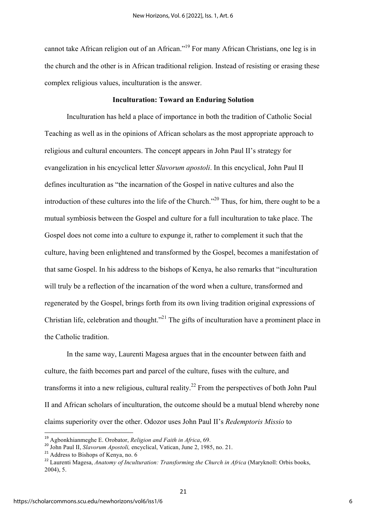cannot take African religion out of an African."<sup>19</sup> For many African Christians, one leg is in the church and the other is in African traditional religion. Instead of resisting or erasing these complex religious values, inculturation is the answer.

#### **Inculturation: Toward an Enduring Solution**

Inculturation has held a place of importance in both the tradition of Catholic Social Teaching as well as in the opinions of African scholars as the most appropriate approach to religious and cultural encounters. The concept appears in John Paul II's strategy for evangelization in his encyclical letter *Slavorum apostoli*. In this encyclical, John Paul II defines inculturation as "the incarnation of the Gospel in native cultures and also the introduction of these cultures into the life of the Church.<sup> $20$ </sup> Thus, for him, there ought to be a mutual symbiosis between the Gospel and culture for a full inculturation to take place. The Gospel does not come into a culture to expunge it, rather to complement it such that the culture, having been enlightened and transformed by the Gospel, becomes a manifestation of that same Gospel. In his address to the bishops of Kenya, he also remarks that "inculturation will truly be a reflection of the incarnation of the word when a culture, transformed and regenerated by the Gospel, brings forth from its own living tradition original expressions of Christian life, celebration and thought.<sup>"21</sup> The gifts of inculturation have a prominent place in the Catholic tradition.

In the same way, Laurenti Magesa argues that in the encounter between faith and culture, the faith becomes part and parcel of the culture, fuses with the culture, and transforms it into a new religious, cultural reality.<sup>22</sup> From the perspectives of both John Paul II and African scholars of inculturation, the outcome should be a mutual blend whereby none claims superiority over the other. Odozor uses John Paul II's *Redemptoris Missio* to

<sup>&</sup>lt;sup>19</sup> Agbonkhianmeghe E. Orobator, *Religion and Faith in Africa*, 69.

<sup>19</sup> Agbonkhianmeghe E. Orobator, *Religion and Faith in Africa*, 69. <sup>20</sup> John Paul II, *Slavorum Apostoli,* encyclical, Vatican, June 2, 1985, no. 21.

<sup>&</sup>lt;sup>21</sup> Address to Bishops of Kenya, no. 6

<sup>22</sup> Laurenti Magesa, *Anatomy of Inculturation: Transforming the Church in Africa* (Maryknoll: Orbis books, 2004), 5.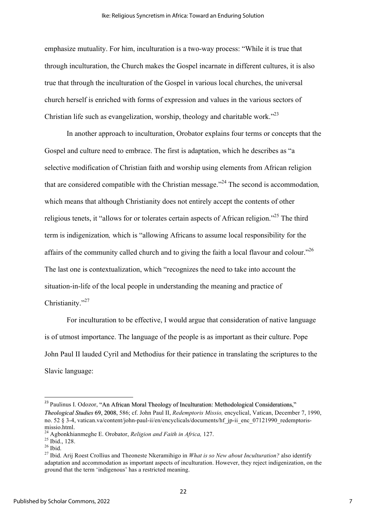emphasize mutuality. For him, inculturation is a two-way process: "While it is true that through inculturation, the Church makes the Gospel incarnate in different cultures, it is also true that through the inculturation of the Gospel in various local churches, the universal church herself is enriched with forms of expression and values in the various sectors of Christian life such as evangelization, worship, theology and charitable work.<sup>23</sup>

In another approach to inculturation, Orobator explains four terms or concepts that the Gospel and culture need to embrace. The first is adaptation, which he describes as "a selective modification of Christian faith and worship using elements from African religion that are considered compatible with the Christian message."<sup>24</sup> The second is accommodation*,*  which means that although Christianity does not entirely accept the contents of other religious tenets, it "allows for or tolerates certain aspects of African religion."<sup>25</sup> The third term is indigenization*,* which is "allowing Africans to assume local responsibility for the affairs of the community called church and to giving the faith a local flavour and colour."<sup>26</sup> The last one is contextualization, which "recognizes the need to take into account the situation-in-life of the local people in understanding the meaning and practice of Christianity."<sup>27</sup>

For inculturation to be effective, I would argue that consideration of native language is of utmost importance. The language of the people is as important as their culture. Pope John Paul II lauded Cyril and Methodius for their patience in translating the scriptures to the Slavic language:

<u> 1989 - Jan Samuel Barbara, margaret e</u>

<sup>&</sup>lt;sup>23</sup> Paulinus I. Odozor, "An African Moral Theology of Inculturation: Methodological Considerations," *Theological Studies* 69, 2008, 586; cf. John Paul II, *Redemptoris Missio,* encyclical, Vatican, December 7, 1990, no. 52 § 3-4, vatican.va/content/john-paul-ii/en/encyclicals/documents/hf ip-ii enc\_07121990\_redemptorismissio.html.<br><sup>24</sup> Agbonkhianmeghe E. Orobator, *Religion and Faith in Africa*, 127.<br><sup>25</sup> Ibid., 128.<br><sup>26</sup> Ibid.<br><sup>27</sup> Ibid. Arij Roest Crollius and Theoneste Nkeramihigo in *What is so New about Inculturation?* also identi

adaptation and accommodation as important aspects of inculturation. However, they reject indigenization, on the ground that the term 'indigenous' has a restricted meaning.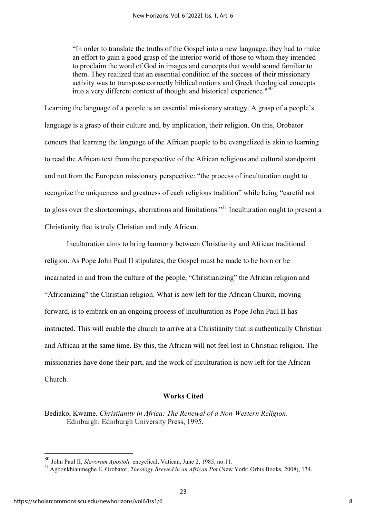"In order to translate the truths of the Gospel into a new language, they had to make an effort to gain a good grasp of the interior world of those to whom they intended to proclaim the word of God in images and concepts that would sound familiar to them. They realized that an essential condition of the success of their missionary activity was to transpose correctly biblical notions and Greek theological concepts into a very different context of thought and historical experience." 30

Learning the language of a people is an essential missionary strategy. A grasp of a people's language is a grasp of their culture and, by implication, their religion. On this, Orobator concurs that learning the language of the African people to be evangelized is akin to learning to read the African text from the perspective of the African religious and cultural standpoint and not from the European missionary perspective: "the process of inculturation ought to recognize the uniqueness and greatness of each religious tradition" while being "careful not to gloss over the shortcomings, aberrations and limitations."31 Inculturation ought to present a Christianity that is truly Christian and truly African.

Inculturation aims to bring harmony between Christianity and African traditional religion. As Pope John Paul II stipulates, the Gospel must be made to be born or be incarnated in and from the culture of the people, "Christianizing" the African religion and "Africanizing" the Christian religion. What is now left for the African Church, moving forward, is to embark on an ongoing process of inculturation as Pope John Paul II has instructed. This will enable the church to arrive at a Christianity that is authentically Christian and African at the same time. By this, the African will not feel lost in Christian religion. The missionaries have done their part, and the work of inculturation is now left for the African Church.

#### **Works Cited**

Bediako, Kwame. *Christianity in Africa: The Renewal of a Non-Western Religion*. Edinburgh: Edinburgh University Press, 1995.

 

<sup>30</sup> John Paul II, *Slavorum Apostoli,* encyclical, Vatican, June 2, 1985, no.11.

<sup>31</sup> Agbonkhianmeghe E. Orobator, *Theology Brewed in an African Pot* (New York: Orbis Books, 2008), 134.